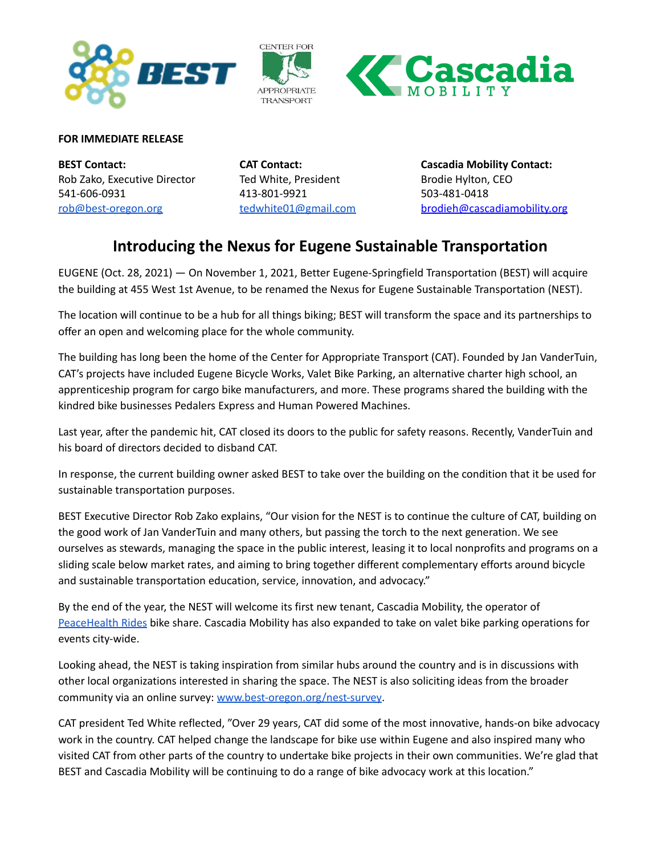





## **FOR IMMEDIATE RELEASE**

**BEST Contact:** Rob Zako, Executive Director 541-606-0931 [rob@best-oregon.org](mailto:rob@best-oregon.org)

**CAT Contact:** Ted White, President 413-801-9921 [tedwhite01@gmail.com](mailto:tedwhite01@gmail.com)

**Cascadia Mobility Contact:** Brodie Hylton, CEO 503-481-0418 brodieh@cascadiamobility.org

## **Introducing the Nexus for Eugene Sustainable Transportation**

EUGENE (Oct. 28, 2021) — On November 1, 2021, Better Eugene-Springfield Transportation (BEST) will acquire the building at 455 West 1st Avenue, to be renamed the Nexus for Eugene Sustainable Transportation (NEST).

The location will continue to be a hub for all things biking; BEST will transform the space and its partnerships to offer an open and welcoming place for the whole community.

The building has long been the home of the Center for Appropriate Transport (CAT). Founded by Jan VanderTuin, CAT's projects have included Eugene Bicycle Works, Valet Bike Parking, an alternative charter high school, an apprenticeship program for cargo bike manufacturers, and more. These programs shared the building with the kindred bike businesses Pedalers Express and Human Powered Machines.

Last year, after the pandemic hit, CAT closed its doors to the public for safety reasons. Recently, VanderTuin and his board of directors decided to disband CAT.

In response, the current building owner asked BEST to take over the building on the condition that it be used for sustainable transportation purposes.

BEST Executive Director Rob Zako explains, "Our vision for the NEST is to continue the culture of CAT, building on the good work of Jan VanderTuin and many others, but passing the torch to the next generation. We see ourselves as stewards, managing the space in the public interest, leasing it to local nonprofits and programs on a sliding scale below market rates, and aiming to bring together different complementary efforts around bicycle and sustainable transportation education, service, innovation, and advocacy."

By the end of the year, the NEST will welcome its first new tenant, Cascadia Mobility, the operator of [PeaceHealth](https://peacehealthrides.com) Rides bike share. Cascadia Mobility has also expanded to take on valet bike parking operations for events city-wide.

Looking ahead, the NEST is taking inspiration from similar hubs around the country and is in discussions with other local organizations interested in sharing the space. The NEST is also soliciting ideas from the broader community via an online survey: [www.best-oregon.org/nest-survey.](https://www.best-oregon.org/nest-survey)

CAT president Ted White reflected, "Over 29 years, CAT did some of the most innovative, hands-on bike advocacy work in the country. CAT helped change the landscape for bike use within Eugene and also inspired many who visited CAT from other parts of the country to undertake bike projects in their own communities. We're glad that BEST and Cascadia Mobility will be continuing to do a range of bike advocacy work at this location."